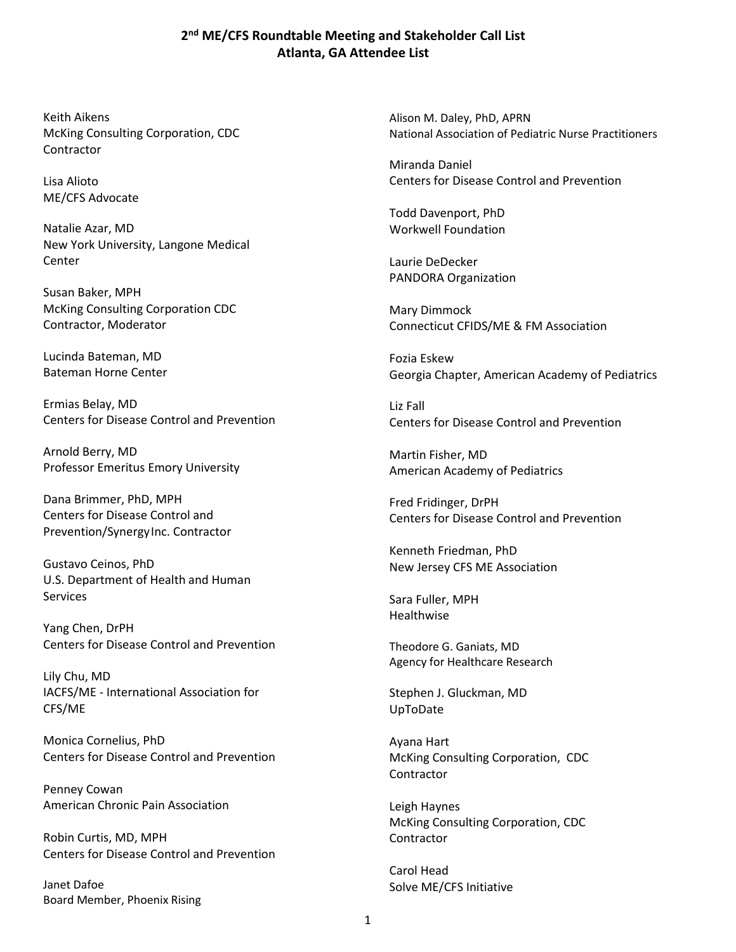## **2 nd ME/CFS Roundtable Meeting and Stakeholder Call List Atlanta, GA Attendee List**

Keith Aikens McKing Consulting Corporation, CDC **Contractor** 

Lisa Alioto ME/CFS Advocate

Natalie Azar, MD New York University, Langone Medical Center

Susan Baker, MPH McKing Consulting Corporation CDC Contractor, Moderator

Lucinda Bateman, MD Bateman Horne Center

Ermias Belay, MD Centers for Disease Control and Prevention

Arnold Berry, MD Professor Emeritus Emory University

Dana Brimmer, PhD, MPH Centers for Disease Control and Prevention/SynergyInc. Contractor

Gustavo Ceinos, PhD U.S. Department of Health and Human Services

Yang Chen, DrPH Centers for Disease Control and Prevention

Lily Chu, MD IACFS/ME - International Association for CFS/ME

Monica Cornelius, PhD Centers for Disease Control and Prevention

Penney Cowan American Chronic Pain Association

Robin Curtis, MD, MPH Centers for Disease Control and Prevention

Janet Dafoe Board Member, Phoenix Rising Alison M. Daley, PhD, APRN National Association of Pediatric Nurse Practitioners

Miranda Daniel Centers for Disease Control and Prevention

Todd Davenport, PhD Workwell Foundation

Laurie DeDecker PANDORA Organization

Mary Dimmock Connecticut CFIDS/ME & FM Association

Fozia Eskew Georgia Chapter, American Academy of Pediatrics

Liz Fall Centers for Disease Control and Prevention

Martin Fisher, MD American Academy of Pediatrics

Fred Fridinger, DrPH Centers for Disease Control and Prevention

Kenneth Friedman, PhD New Jersey CFS ME Association

Sara Fuller, MPH Healthwise

Theodore G. Ganiats, MD Agency for Healthcare Research

Stephen J. Gluckman, MD UpToDate

Ayana Hart McKing Consulting Corporation, CDC Contractor

Leigh Haynes McKing Consulting Corporation, CDC **Contractor** 

Carol Head Solve ME/CFS Initiative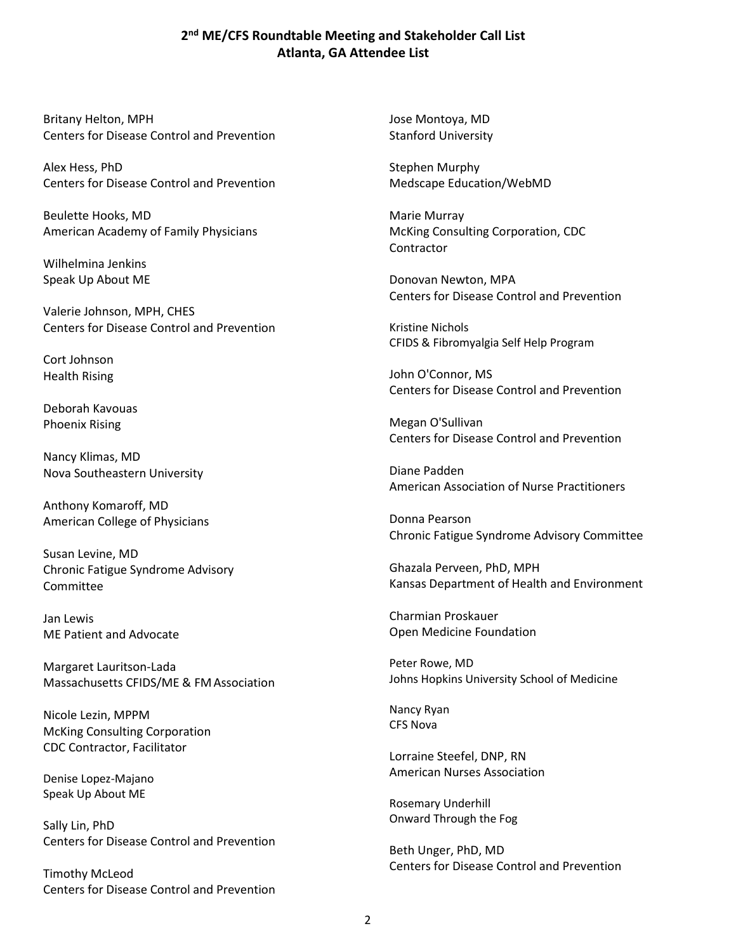## **2 nd ME/CFS Roundtable Meeting and Stakeholder Call List Atlanta, GA Attendee List**

Britany Helton, MPH Centers for Disease Control and Prevention

Alex Hess, PhD Centers for Disease Control and Prevention

Beulette Hooks, MD American Academy of Family Physicians

Wilhelmina Jenkins Speak Up About ME

Valerie Johnson, MPH, CHES Centers for Disease Control and Prevention

Cort Johnson Health Rising

Deborah Kavouas Phoenix Rising

Nancy Klimas, MD Nova Southeastern University

Anthony Komaroff, MD American College of Physicians

Susan Levine, MD Chronic Fatigue Syndrome Advisory Committee

Jan Lewis ME Patient and Advocate

Margaret Lauritson-Lada Massachusetts CFIDS/ME & FMAssociation

Nicole Lezin, MPPM McKing Consulting Corporation CDC Contractor, Facilitator

Denise Lopez-Majano Speak Up About ME

Sally Lin, PhD Centers for Disease Control and Prevention

Timothy McLeod Centers for Disease Control and Prevention Jose Montoya, MD Stanford University

Stephen Murphy Medscape Education/WebMD

Marie Murray McKing Consulting Corporation, CDC Contractor

Donovan Newton, MPA Centers for Disease Control and Prevention

Kristine Nichols CFIDS & Fibromyalgia Self Help Program

John O'Connor, MS Centers for Disease Control and Prevention

Megan O'Sullivan Centers for Disease Control and Prevention

Diane Padden American Association of Nurse Practitioners

Donna Pearson Chronic Fatigue Syndrome Advisory Committee

Ghazala Perveen, PhD, MPH Kansas Department of Health and Environment

Charmian Proskauer Open Medicine Foundation

Peter Rowe, MD Johns Hopkins University School of Medicine

Nancy Ryan CFS Nova

Lorraine Steefel, DNP, RN American Nurses Association

Rosemary Underhill Onward Through the Fog

Beth Unger, PhD, MD Centers for Disease Control and Prevention